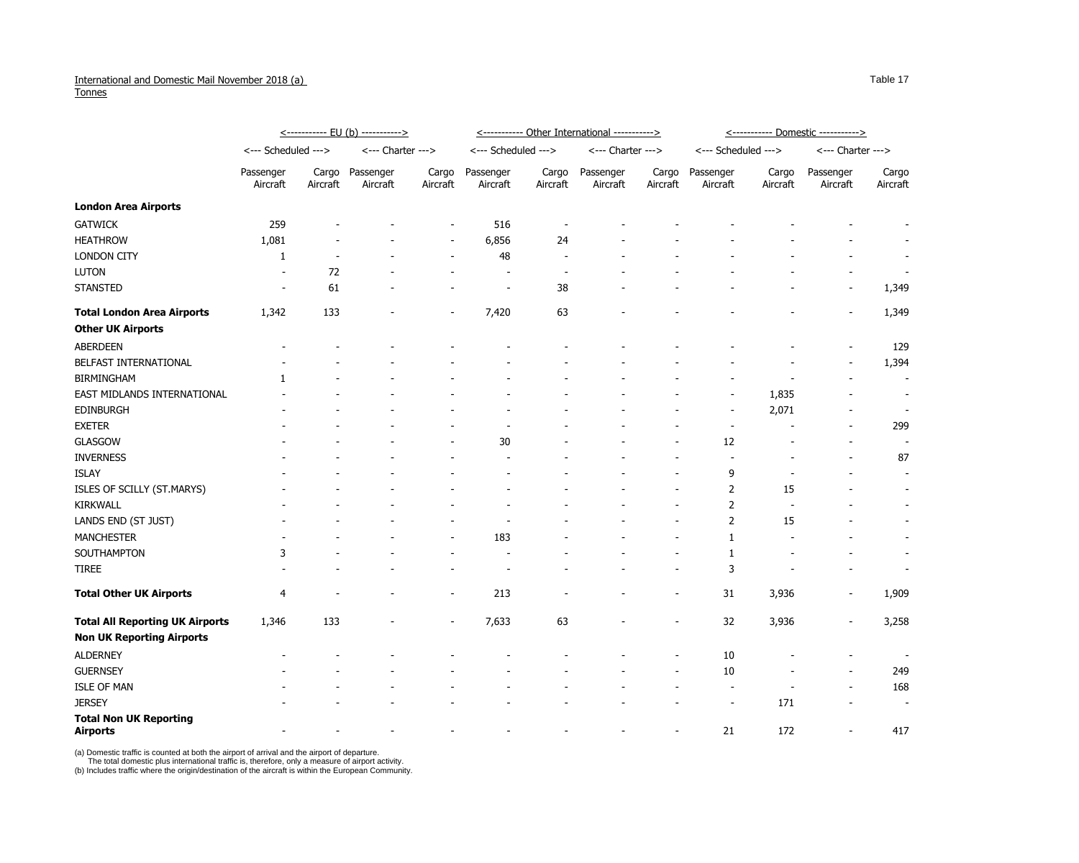## International and Domestic Mail November 2018 (a) **Tonnes**

|                                                  | <u>&lt;----------- EU (b) -----------&gt;</u> |                   |                       |                          | <----------- Other International -----------> |                   |                       |                          | <u>&lt;----------- Domestic -----------&gt;</u> |                   |                          |                          |
|--------------------------------------------------|-----------------------------------------------|-------------------|-----------------------|--------------------------|-----------------------------------------------|-------------------|-----------------------|--------------------------|-------------------------------------------------|-------------------|--------------------------|--------------------------|
|                                                  | <--- Scheduled --->                           |                   | <--- Charter --->     |                          | <--- Scheduled --->                           |                   | <--- Charter --->     |                          | <--- Scheduled --->                             |                   | <--- Charter --->        |                          |
|                                                  | Passenger<br>Aircraft                         | Cargo<br>Aircraft | Passenger<br>Aircraft | Cargo<br>Aircraft        | Passenger<br>Aircraft                         | Cargo<br>Aircraft | Passenger<br>Aircraft | Cargo<br>Aircraft        | Passenger<br>Aircraft                           | Cargo<br>Aircraft | Passenger<br>Aircraft    | Cargo<br>Aircraft        |
| <b>London Area Airports</b>                      |                                               |                   |                       |                          |                                               |                   |                       |                          |                                                 |                   |                          |                          |
| <b>GATWICK</b>                                   | 259                                           |                   |                       |                          | 516                                           |                   |                       |                          |                                                 |                   |                          |                          |
| <b>HEATHROW</b>                                  | 1,081                                         |                   |                       |                          | 6,856                                         | 24                |                       |                          |                                                 |                   |                          |                          |
| <b>LONDON CITY</b>                               | -1                                            |                   |                       |                          | 48                                            |                   |                       |                          |                                                 |                   |                          |                          |
| <b>LUTON</b>                                     |                                               | 72                |                       |                          | $\overline{\phantom{a}}$                      |                   |                       |                          |                                                 |                   |                          |                          |
| <b>STANSTED</b>                                  |                                               | 61                |                       |                          |                                               | 38                |                       |                          |                                                 |                   |                          | 1,349                    |
| <b>Total London Area Airports</b>                | 1,342                                         | 133               |                       |                          | 7,420                                         | 63                |                       |                          |                                                 |                   |                          | 1,349                    |
| <b>Other UK Airports</b>                         |                                               |                   |                       |                          |                                               |                   |                       |                          |                                                 |                   |                          |                          |
| <b>ABERDEEN</b>                                  |                                               |                   |                       |                          |                                               |                   |                       |                          |                                                 |                   |                          | 129                      |
| BELFAST INTERNATIONAL                            |                                               |                   |                       |                          |                                               |                   |                       |                          |                                                 |                   |                          | 1,394                    |
| <b>BIRMINGHAM</b>                                |                                               |                   |                       |                          |                                               |                   |                       |                          |                                                 |                   |                          |                          |
| EAST MIDLANDS INTERNATIONAL                      |                                               |                   |                       |                          |                                               |                   |                       |                          |                                                 | 1,835             |                          |                          |
| <b>EDINBURGH</b>                                 |                                               |                   |                       |                          |                                               |                   |                       |                          | $\overline{\phantom{a}}$                        | 2,071             |                          |                          |
| <b>EXETER</b>                                    |                                               |                   |                       |                          |                                               |                   |                       |                          |                                                 |                   |                          | 299                      |
| <b>GLASGOW</b>                                   |                                               |                   |                       |                          | 30                                            |                   |                       |                          | 12                                              |                   |                          |                          |
| <b>INVERNESS</b>                                 |                                               |                   |                       |                          |                                               |                   |                       |                          |                                                 |                   |                          | 87                       |
| <b>ISLAY</b>                                     |                                               |                   |                       |                          |                                               |                   |                       |                          | 9                                               |                   |                          | $\overline{\phantom{a}}$ |
| ISLES OF SCILLY (ST.MARYS)                       |                                               |                   |                       |                          |                                               |                   |                       |                          | 2                                               | 15                |                          |                          |
| <b>KIRKWALL</b>                                  |                                               |                   |                       |                          |                                               |                   |                       |                          | 2                                               |                   |                          |                          |
| LANDS END (ST JUST)                              |                                               |                   |                       |                          |                                               |                   |                       |                          | 2                                               | 15                |                          |                          |
| <b>MANCHESTER</b>                                |                                               |                   |                       |                          | 183                                           |                   |                       |                          |                                                 |                   |                          |                          |
| SOUTHAMPTON                                      | 3                                             |                   |                       |                          |                                               |                   |                       |                          |                                                 |                   |                          |                          |
| <b>TIREE</b>                                     |                                               |                   |                       |                          | -                                             |                   |                       |                          | 3                                               |                   |                          |                          |
| <b>Total Other UK Airports</b>                   | $\overline{4}$                                |                   |                       | $\overline{\phantom{a}}$ | 213                                           |                   |                       |                          | 31                                              | 3,936             | $\overline{\phantom{a}}$ | 1,909                    |
| <b>Total All Reporting UK Airports</b>           | 1,346                                         | 133               |                       |                          | 7,633                                         | 63                |                       |                          | 32                                              | 3,936             |                          | 3,258                    |
| <b>Non UK Reporting Airports</b>                 |                                               |                   |                       |                          |                                               |                   |                       |                          |                                                 |                   |                          |                          |
| <b>ALDERNEY</b>                                  |                                               |                   |                       |                          |                                               |                   |                       |                          | $10\,$                                          |                   |                          | $\overline{\phantom{a}}$ |
| <b>GUERNSEY</b>                                  |                                               |                   |                       |                          |                                               |                   |                       |                          | $10\,$                                          |                   |                          | 249                      |
| <b>ISLE OF MAN</b>                               |                                               |                   |                       |                          |                                               |                   |                       |                          |                                                 |                   |                          | 168                      |
| <b>JERSEY</b>                                    |                                               |                   |                       |                          |                                               |                   |                       |                          | $\overline{\phantom{a}}$                        | 171               |                          | $\overline{\phantom{a}}$ |
| <b>Total Non UK Reporting</b><br><b>Airports</b> |                                               |                   |                       |                          |                                               |                   |                       | $\overline{\phantom{a}}$ | 21                                              | 172               |                          | 417                      |

(a) Domestic traffic is counted at both the airport of arrival and the airport of departure.

The total domestic plus international traffic is, therefore, only a measure of airport activity.

(b) Includes traffic where the origin/destination of the aircraft is within the European Community.